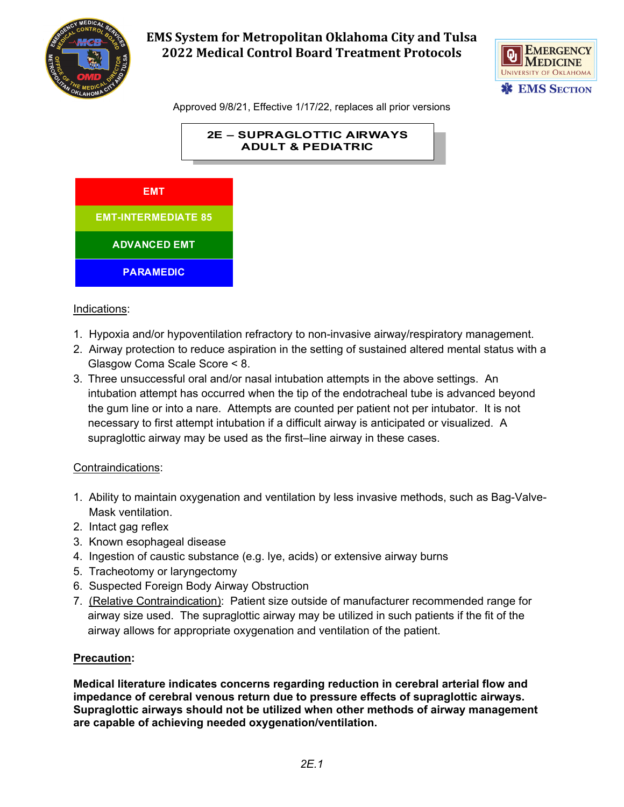



Approved 9/8/21, Effective 1/17/22, replaces all prior versions





#### Indications:

- 1. Hypoxia and/or hypoventilation refractory to non-invasive airway/respiratory management.
- 2. Airway protection to reduce aspiration in the setting of sustained altered mental status with a Glasgow Coma Scale Score < 8.
- 3. Three unsuccessful oral and/or nasal intubation attempts in the above settings. An intubation attempt has occurred when the tip of the endotracheal tube is advanced beyond the gum line or into a nare. Attempts are counted per patient not per intubator. It is not necessary to first attempt intubation if a difficult airway is anticipated or visualized. A supraglottic airway may be used as the first–line airway in these cases.

### Contraindications:

- 1. Ability to maintain oxygenation and ventilation by less invasive methods, such as Bag-Valve- Mask ventilation.
- 2. Intact gag reflex
- 3. Known esophageal disease
- 4. Ingestion of caustic substance (e.g. lye, acids) or extensive airway burns
- 5. Tracheotomy or laryngectomy
- 6. Suspected Foreign Body Airway Obstruction
- 7. (Relative Contraindication): Patient size outside of manufacturer recommended range for airway size used. The supraglottic airway may be utilized in such patients if the fit of the airway allows for appropriate oxygenation and ventilation of the patient.

### **Precaution:**

**Medical literature indicates concerns regarding reduction in cerebral arterial flow and impedance of cerebral venous return due to pressure effects of supraglottic airways. Supraglottic airways should not be utilized when other methods of airway management are capable of achieving needed oxygenation/ventilation.**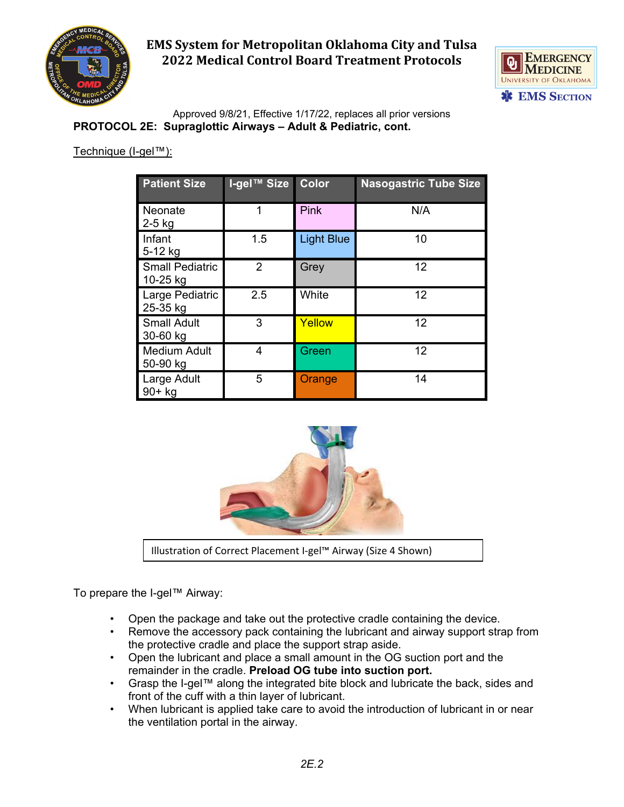



Approved 9/8/21, Effective 1/17/22, replaces all prior versions **PROTOCOL 2E: Supraglottic Airways – Adult & Pediatric, cont.**

## Technique (I-gel™):

| <b>Patient Size</b>                | I-gel™ Size    | <b>Color</b>      | <b>Nasogastric Tube Size</b> |
|------------------------------------|----------------|-------------------|------------------------------|
| Neonate<br>$2-5$ kg                |                | <b>Pink</b>       | N/A                          |
| Infant<br>5-12 kg                  | 1.5            | <b>Light Blue</b> | 10                           |
| <b>Small Pediatric</b><br>10-25 kg | $\overline{2}$ | Grey              | 12                           |
| Large Pediatric<br>25-35 kg        | 2.5            | White             | 12                           |
| <b>Small Adult</b><br>30-60 kg     | 3              | Yellow            | 12                           |
| <b>Medium Adult</b><br>50-90 kg    | 4              | Green             | 12                           |
| Large Adult<br>$90+$ kg            | 5              | Orange            | 14                           |



Illustration of Correct Placement I-gel™ Airway (Size 4 Shown)

To prepare the I-gel™ Airway:

- Open the package and take out the protective cradle containing the device.
- Remove the accessory pack containing the lubricant and airway support strap from the protective cradle and place the support strap aside.
- Open the lubricant and place a small amount in the OG suction port and the remainder in the cradle. **Preload OG tube into suction port.**
- Grasp the I-gel™ along the integrated bite block and lubricate the back, sides and front of the cuff with a thin layer of lubricant.
- When lubricant is applied take care to avoid the introduction of lubricant in or near the ventilation portal in the airway.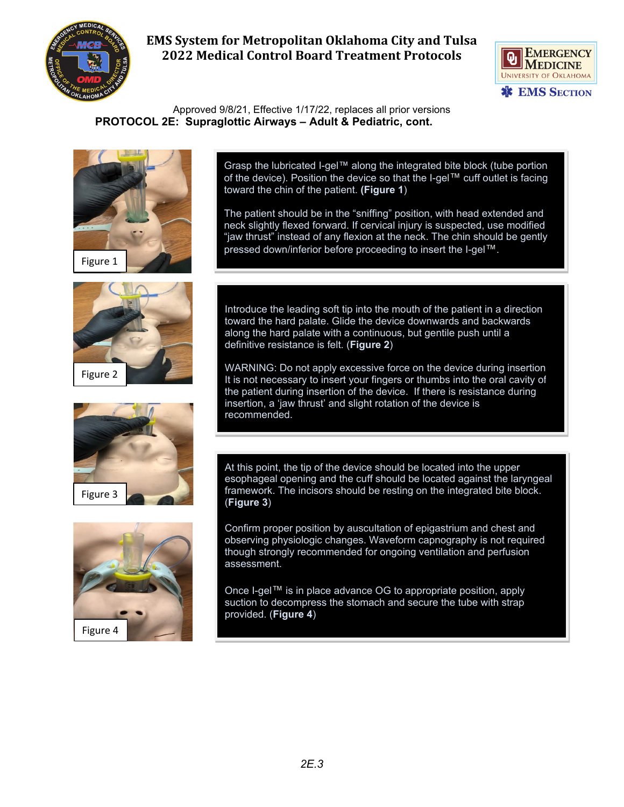



Approved 9/8/21, Effective 1/17/22, replaces all prior versions  **PROTOCOL 2E: Supraglottic Airways – Adult & Pediatric, cont.**









Grasp the lubricated I-gel™ along the integrated bite block (tube portion of the device). Position the device so that the I-gel™ cuff outlet is facing toward the chin of the patient. **(Figure 1**)

The patient should be in the "sniffing" position, with head extended and neck slightly flexed forward. If cervical injury is suspected, use modified "jaw thrust" instead of any flexion at the neck. The chin should be gently pressed down/inferior before proceeding to insert the I-gel™.

Introduce the leading soft tip into the mouth of the patient in a direction toward the hard palate. Glide the device downwards and backwards along the hard palate with a continuous, but gentile push until a definitive resistance is felt. (**Figure 2**)

WARNING: Do not apply excessive force on the device during insertion It is not necessary to insert your fingers or thumbs into the oral cavity of the patient during insertion of the device. If there is resistance during insertion, a 'jaw thrust' and slight rotation of the device is recommended.

At this point, the tip of the device should be located into the upper esophageal opening and the cuff should be located against the laryngeal framework. The incisors should be resting on the integrated bite block. (**Figure 3**)

Confirm proper position by auscultation of epigastrium and chest and observing physiologic changes. Waveform capnography is not required though strongly recommended for ongoing ventilation and perfusion assessment.

Once I-gel™ is in place advance OG to appropriate position, apply suction to decompress the stomach and secure the tube with strap provided. (**Figure 4**)